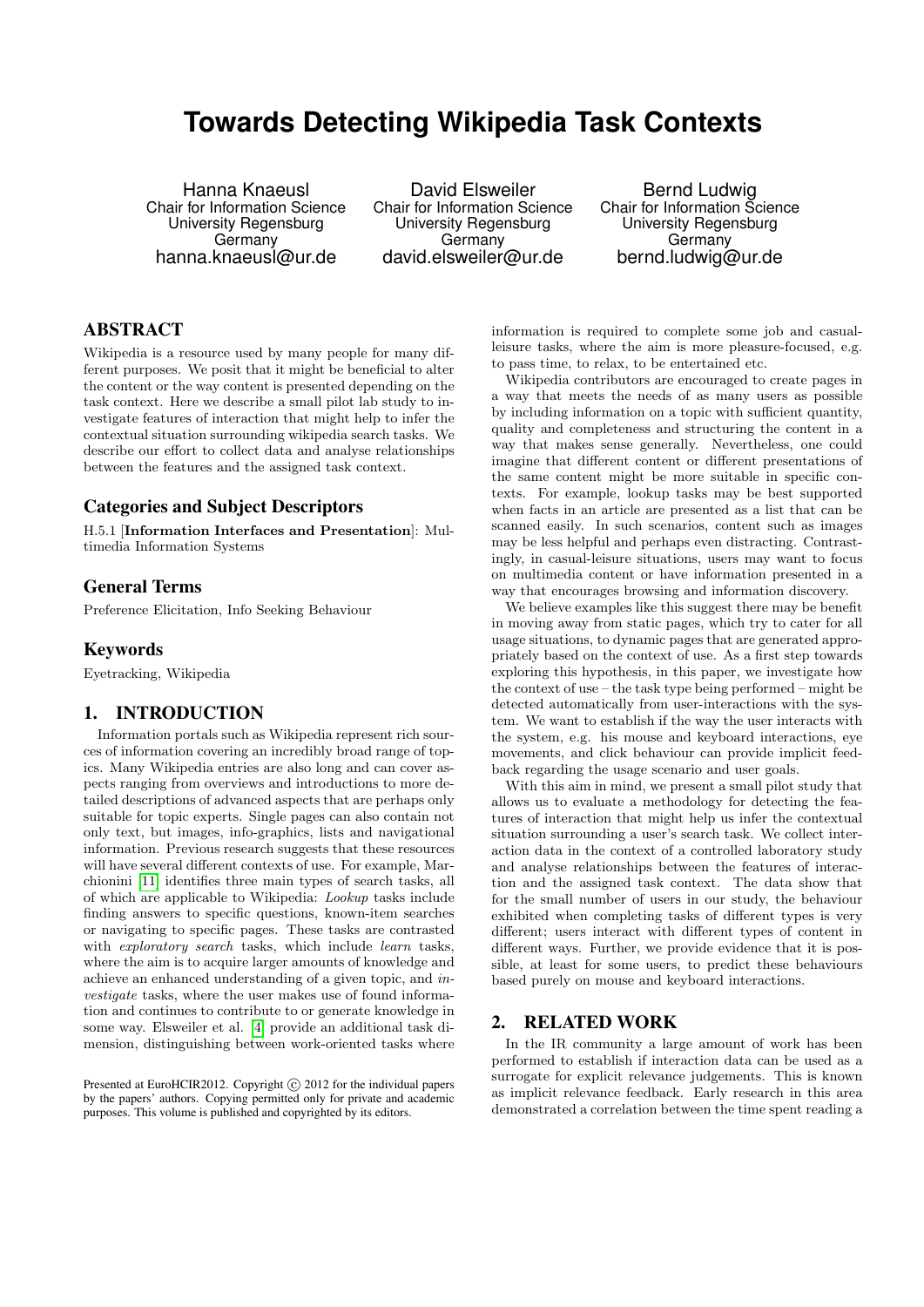# **Towards Detecting Wikipedia Task Contexts**

Hanna Knaeusl Chair for Information Science University Regensburg Germany hanna.knaeusl@ur.de

David Elsweiler Chair for Information Science University Regensburg Germany david.elsweiler@ur.de

Bernd Ludwig Chair for Information Science University Regensburg Germany bernd.ludwig@ur.de

# ABSTRACT

Wikipedia is a resource used by many people for many different purposes. We posit that it might be beneficial to alter the content or the way content is presented depending on the task context. Here we describe a small pilot lab study to investigate features of interaction that might help to infer the contextual situation surrounding wikipedia search tasks. We describe our effort to collect data and analyse relationships between the features and the assigned task context.

## Categories and Subject Descriptors

H.5.1 [Information Interfaces and Presentation]: Multimedia Information Systems

#### General Terms

Preference Elicitation, Info Seeking Behaviour

#### Keywords

Eyetracking, Wikipedia

## 1. INTRODUCTION

Information portals such as Wikipedia represent rich sources of information covering an incredibly broad range of topics. Many Wikipedia entries are also long and can cover aspects ranging from overviews and introductions to more detailed descriptions of advanced aspects that are perhaps only suitable for topic experts. Single pages can also contain not only text, but images, info-graphics, lists and navigational information. Previous research suggests that these resources will have several different contexts of use. For example, Marchionini [\[11\]](#page-3-0) identifies three main types of search tasks, all of which are applicable to Wikipedia: Lookup tasks include finding answers to specific questions, known-item searches or navigating to specific pages. These tasks are contrasted with *exploratory search* tasks, which include *learn* tasks, where the aim is to acquire larger amounts of knowledge and achieve an enhanced understanding of a given topic, and investigate tasks, where the user makes use of found information and continues to contribute to or generate knowledge in some way. Elsweiler et al. [\[4\]](#page-3-1) provide an additional task dimension, distinguishing between work-oriented tasks where

Presented at EuroHCIR2012. Copyright  $\odot$  2012 for the individual papers by the papers' authors. Copying permitted only for private and academic purposes. This volume is published and copyrighted by its editors.

information is required to complete some job and casualleisure tasks, where the aim is more pleasure-focused, e.g. to pass time, to relax, to be entertained etc.

Wikipedia contributors are encouraged to create pages in a way that meets the needs of as many users as possible by including information on a topic with sufficient quantity, quality and completeness and structuring the content in a way that makes sense generally. Nevertheless, one could imagine that different content or different presentations of the same content might be more suitable in specific contexts. For example, lookup tasks may be best supported when facts in an article are presented as a list that can be scanned easily. In such scenarios, content such as images may be less helpful and perhaps even distracting. Contrastingly, in casual-leisure situations, users may want to focus on multimedia content or have information presented in a way that encourages browsing and information discovery.

We believe examples like this suggest there may be benefit in moving away from static pages, which try to cater for all usage situations, to dynamic pages that are generated appropriately based on the context of use. As a first step towards exploring this hypothesis, in this paper, we investigate how the context of use – the task type being performed – might be detected automatically from user-interactions with the system. We want to establish if the way the user interacts with the system, e.g. his mouse and keyboard interactions, eye movements, and click behaviour can provide implicit feedback regarding the usage scenario and user goals.

With this aim in mind, we present a small pilot study that allows us to evaluate a methodology for detecting the features of interaction that might help us infer the contextual situation surrounding a user's search task. We collect interaction data in the context of a controlled laboratory study and analyse relationships between the features of interaction and the assigned task context. The data show that for the small number of users in our study, the behaviour exhibited when completing tasks of different types is very different; users interact with different types of content in different ways. Further, we provide evidence that it is possible, at least for some users, to predict these behaviours based purely on mouse and keyboard interactions.

#### 2. RELATED WORK

In the IR community a large amount of work has been performed to establish if interaction data can be used as a surrogate for explicit relevance judgements. This is known as implicit relevance feedback. Early research in this area demonstrated a correlation between the time spent reading a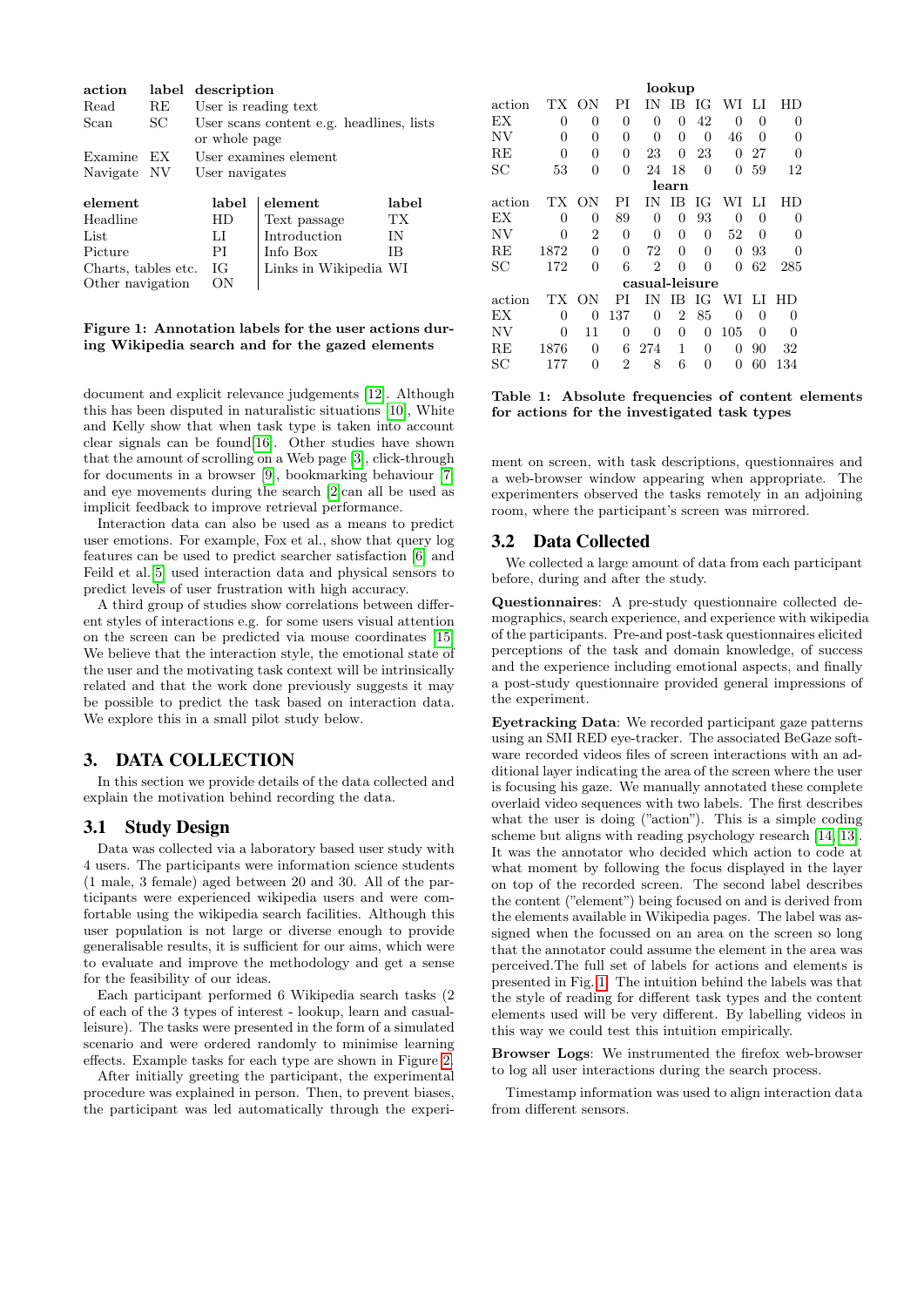| action      |    | label description                        |              |       |  |  |  |  |  |
|-------------|----|------------------------------------------|--------------|-------|--|--|--|--|--|
| Read        | RE | User is reading text.                    |              |       |  |  |  |  |  |
| Scan        | SС | User scans content e.g. headlines, lists |              |       |  |  |  |  |  |
|             |    | or whole page                            |              |       |  |  |  |  |  |
| Examine     | EX | User examines element                    |              |       |  |  |  |  |  |
| Navigate NV |    | User navigates                           |              |       |  |  |  |  |  |
| element     |    | label                                    | element      | label |  |  |  |  |  |
| Headline    |    | HD                                       | Text passage | ТX    |  |  |  |  |  |
| List        |    | Ы                                        | Introduction | ΙN    |  |  |  |  |  |
| Picture     |    | РI                                       | Info Box     | ΙB    |  |  |  |  |  |

Charts, tables etc. IG Links in Wikipedia WI<br>Other navigation ON Other navigation

<span id="page-1-0"></span>Figure 1: Annotation labels for the user actions during Wikipedia search and for the gazed elements

document and explicit relevance judgements [\[12\]](#page-3-2). Although this has been disputed in naturalistic situations [\[10\]](#page-3-3), White and Kelly show that when task type is taken into account clear signals can be found[\[16\]](#page-3-4). Other studies have shown that the amount of scrolling on a Web page [\[3\]](#page-3-5), click-through for documents in a browser [\[9\]](#page-3-6), bookmarking behaviour [\[7\]](#page-3-7) and eye movements during the search [\[2\]](#page-3-8)can all be used as implicit feedback to improve retrieval performance.

Interaction data can also be used as a means to predict user emotions. For example, Fox et al., show that query log features can be used to predict searcher satisfaction [\[6\]](#page-3-9) and Feild et al.[\[5\]](#page-3-10) used interaction data and physical sensors to predict levels of user frustration with high accuracy.

A third group of studies show correlations between different styles of interactions e.g. for some users visual attention on the screen can be predicted via mouse coordinates [\[15\]](#page-3-11) We believe that the interaction style, the emotional state of the user and the motivating task context will be intrinsically related and that the work done previously suggests it may be possible to predict the task based on interaction data. We explore this in a small pilot study below.

# 3. DATA COLLECTION

In this section we provide details of the data collected and explain the motivation behind recording the data.

## 3.1 Study Design

Data was collected via a laboratory based user study with 4 users. The participants were information science students (1 male, 3 female) aged between 20 and 30. All of the participants were experienced wikipedia users and were comfortable using the wikipedia search facilities. Although this user population is not large or diverse enough to provide generalisable results, it is sufficient for our aims, which were to evaluate and improve the methodology and get a sense for the feasibility of our ideas.

Each participant performed 6 Wikipedia search tasks (2 of each of the 3 types of interest - lookup, learn and casualleisure). The tasks were presented in the form of a simulated scenario and were ordered randomly to minimise learning effects. Example tasks for each type are shown in Figure [2.](#page-2-0)

After initially greeting the participant, the experimental procedure was explained in person. Then, to prevent biases, the participant was led automatically through the experi-

|        | lookup         |                |                |                |    |          |                  |          |     |  |
|--------|----------------|----------------|----------------|----------------|----|----------|------------------|----------|-----|--|
| action | TХ             | ΟN             | РI             | ΙN             | ΙB | ЮG       | WI               | LI       | HD  |  |
| ЕX     | 0              | 0              | $\Omega$       | 0              | 0  | 42       | 0                | $\Omega$ | 0   |  |
| NV     | $\Omega$       | 0              | $\Omega$       | $\Omega$       | 0  | $\Omega$ | 46               | $\Omega$ | 0   |  |
| RE     | $\Omega$       | 0              | $\Omega$       | 23             | 0  | 23       | 0                | 27       | 0   |  |
| SС     | 53             | 0              | $\Omega$       | 24             | 18 | $\Omega$ | 0                | 59       | 12  |  |
|        | learn          |                |                |                |    |          |                  |          |     |  |
| action | TХ             | ΟN             | PI             | ΙN             | ΙB | ΙG       | WI               | LI       | НD  |  |
| ЕX     | 0              | 0              | 89             | 0              | 0  | 93       | 0                | 0        | 0   |  |
| NV     | $\Omega$       | $\overline{2}$ | 0              | 0              | 0  | $\theta$ | 52               | 0        | 0   |  |
| RE     | 1872           | 0              | $\theta$       | 72             | 0  | $\Omega$ | 0                | 93       | 0   |  |
| SС     | 172            | 0              | 6              | $\overline{2}$ | 0  | 0        | 0                | 62       | 285 |  |
|        | casual-leisure |                |                |                |    |          |                  |          |     |  |
| action | TХ             | OΝ             | РI             | ĪΝ             | ΙB | ЮG       | WI               | LI       | НD  |  |
| ЕX     | $\Omega$       | 0              | 137            | $\Omega$       | 2  | 85       | 0                | 0        | 0   |  |
| NV     | $\Omega$       | 11             | 0              | $\Omega$       | 0  | 0        | 105              | 0        | 0   |  |
| RE     | 1876           | 0              | 6              | 274            | 1  | $\Omega$ | 0                | 90       | 32  |  |
| SС     | 177            | 0              | $\overline{2}$ | 8              | 6  | 0        | $\left( \right)$ | 60       | 134 |  |

<span id="page-1-1"></span>Table 1: Absolute frequencies of content elements for actions for the investigated task types

ment on screen, with task descriptions, questionnaires and a web-browser window appearing when appropriate. The experimenters observed the tasks remotely in an adjoining room, where the participant's screen was mirrored.

#### 3.2 Data Collected

We collected a large amount of data from each participant before, during and after the study.

Questionnaires: A pre-study questionnaire collected demographics, search experience, and experience with wikipedia of the participants. Pre-and post-task questionnaires elicited perceptions of the task and domain knowledge, of success and the experience including emotional aspects, and finally a post-study questionnaire provided general impressions of the experiment.

Eyetracking Data: We recorded participant gaze patterns using an SMI RED eye-tracker. The associated BeGaze software recorded videos files of screen interactions with an additional layer indicating the area of the screen where the user is focusing his gaze. We manually annotated these complete overlaid video sequences with two labels. The first describes what the user is doing ("action"). This is a simple coding scheme but aligns with reading psychology research [\[14,](#page-3-12) [13\]](#page-3-13). It was the annotator who decided which action to code at what moment by following the focus displayed in the layer on top of the recorded screen. The second label describes the content ("element") being focused on and is derived from the elements available in Wikipedia pages. The label was assigned when the focussed on an area on the screen so long that the annotator could assume the element in the area was perceived.The full set of labels for actions and elements is presented in Fig. [1.](#page-1-0) The intuition behind the labels was that the style of reading for different task types and the content elements used will be very different. By labelling videos in this way we could test this intuition empirically.

Browser Logs: We instrumented the firefox web-browser to log all user interactions during the search process.

Timestamp information was used to align interaction data from different sensors.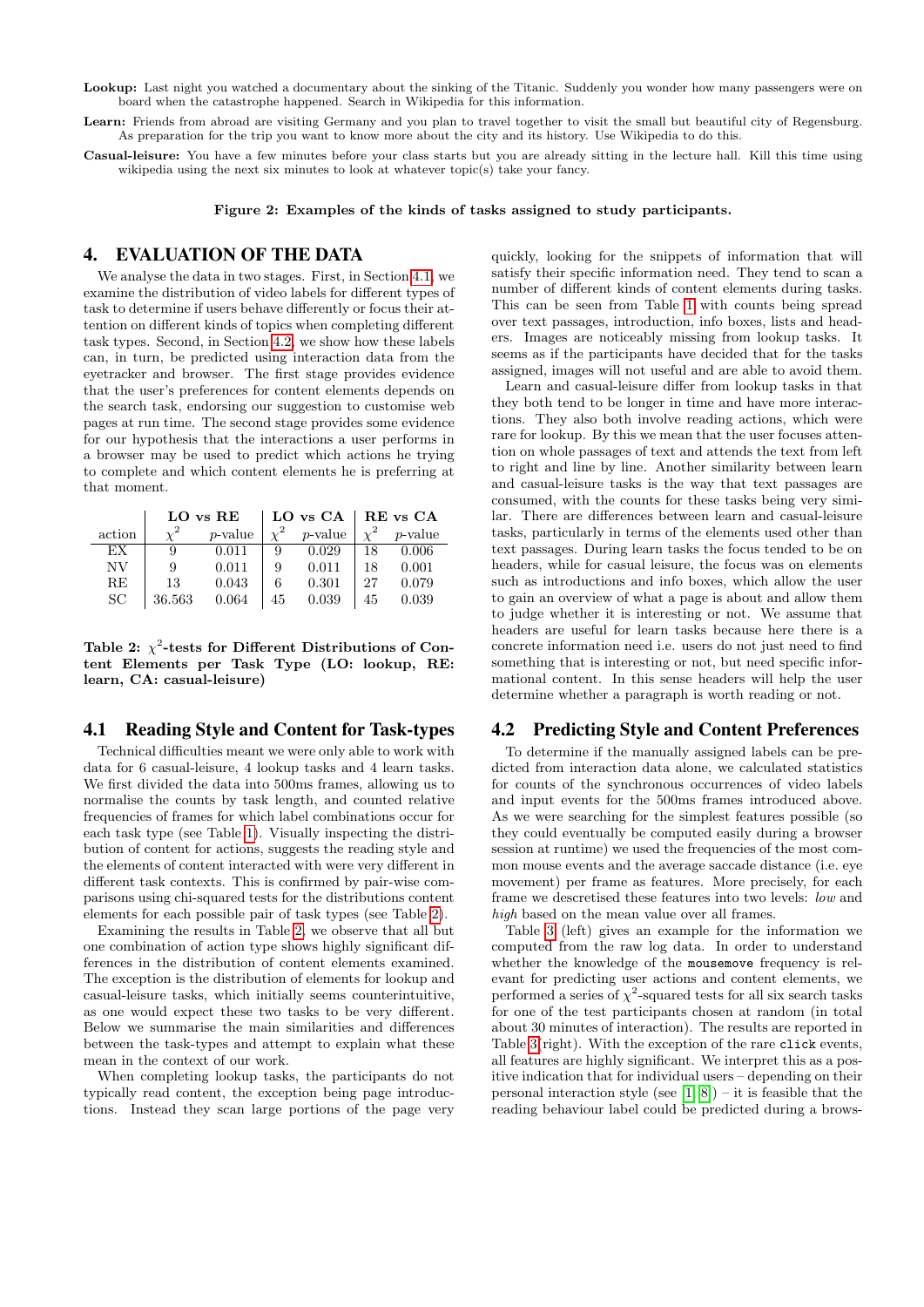Lookup: Last night you watched a documentary about the sinking of the Titanic. Suddenly you wonder how many passengers were on board when the catastrophe happened. Search in Wikipedia for this information.

Learn: Friends from abroad are visiting Germany and you plan to travel together to visit the small but beautiful city of Regensburg. As preparation for the trip you want to know more about the city and its history. Use Wikipedia to do this.

Casual-leisure: You have a few minutes before your class starts but you are already sitting in the lecture hall. Kill this time using wikipedia using the next six minutes to look at whatever topic(s) take your fancy.

<span id="page-2-0"></span>Figure 2: Examples of the kinds of tasks assigned to study participants.

## 4. EVALUATION OF THE DATA

We analyse the data in two stages. First, in Section [4.1,](#page-2-1) we examine the distribution of video labels for different types of task to determine if users behave differently or focus their attention on different kinds of topics when completing different task types. Second, in Section [4.2,](#page-2-2) we show how these labels can, in turn, be predicted using interaction data from the eyetracker and browser. The first stage provides evidence that the user's preferences for content elements depends on the search task, endorsing our suggestion to customise web pages at run time. The second stage provides some evidence for our hypothesis that the interactions a user performs in a browser may be used to predict which actions he trying to complete and which content elements he is preferring at that moment.

|        |        | LO vs RE   |    | LO vs CA   | $ $ RE vs CA |            |  |  |
|--------|--------|------------|----|------------|--------------|------------|--|--|
| action |        | $p$ -value |    | $p$ -value |              | $p$ -value |  |  |
| EX     |        | 0.011      | 9  | 0.029      | 18           | 0.006      |  |  |
| NV     |        | 0.011      | 9  | 0.011      | 18           | 0.001      |  |  |
| RE     | 13     | 0.043      | 6  | 0.301      | 27           | 0.079      |  |  |
| SС     | 36.563 | 0.064      | 45 | 0.039      | 45           | 0.039      |  |  |

<span id="page-2-3"></span>Table 2:  $\chi^2$ -tests for Different Distributions of Content Elements per Task Type (LO: lookup, RE: learn, CA: casual-leisure)

### <span id="page-2-1"></span>4.1 Reading Style and Content for Task-types

Technical difficulties meant we were only able to work with data for 6 casual-leisure, 4 lookup tasks and 4 learn tasks. We first divided the data into 500ms frames, allowing us to normalise the counts by task length, and counted relative frequencies of frames for which label combinations occur for each task type (see Table [1\)](#page-1-1). Visually inspecting the distribution of content for actions, suggests the reading style and the elements of content interacted with were very different in different task contexts. This is confirmed by pair-wise comparisons using chi-squared tests for the distributions content elements for each possible pair of task types (see Table [2\)](#page-2-3).

Examining the results in Table [2,](#page-2-3) we observe that all but one combination of action type shows highly significant differences in the distribution of content elements examined. The exception is the distribution of elements for lookup and casual-leisure tasks, which initially seems counterintuitive, as one would expect these two tasks to be very different. Below we summarise the main similarities and differences between the task-types and attempt to explain what these mean in the context of our work.

When completing lookup tasks, the participants do not typically read content, the exception being page introductions. Instead they scan large portions of the page very quickly, looking for the snippets of information that will satisfy their specific information need. They tend to scan a number of different kinds of content elements during tasks. This can be seen from Table [1](#page-1-1) with counts being spread over text passages, introduction, info boxes, lists and headers. Images are noticeably missing from lookup tasks. It seems as if the participants have decided that for the tasks assigned, images will not useful and are able to avoid them.

Learn and casual-leisure differ from lookup tasks in that they both tend to be longer in time and have more interactions. They also both involve reading actions, which were rare for lookup. By this we mean that the user focuses attention on whole passages of text and attends the text from left to right and line by line. Another similarity between learn and casual-leisure tasks is the way that text passages are consumed, with the counts for these tasks being very similar. There are differences between learn and casual-leisure tasks, particularly in terms of the elements used other than text passages. During learn tasks the focus tended to be on headers, while for casual leisure, the focus was on elements such as introductions and info boxes, which allow the user to gain an overview of what a page is about and allow them to judge whether it is interesting or not. We assume that headers are useful for learn tasks because here there is a concrete information need i.e. users do not just need to find something that is interesting or not, but need specific informational content. In this sense headers will help the user determine whether a paragraph is worth reading or not.

#### <span id="page-2-2"></span>4.2 Predicting Style and Content Preferences

To determine if the manually assigned labels can be predicted from interaction data alone, we calculated statistics for counts of the synchronous occurrences of video labels and input events for the 500ms frames introduced above. As we were searching for the simplest features possible (so they could eventually be computed easily during a browser session at runtime) we used the frequencies of the most common mouse events and the average saccade distance (i.e. eye movement) per frame as features. More precisely, for each frame we descretised these features into two levels: low and high based on the mean value over all frames.

Table [3](#page-3-14) (left) gives an example for the information we computed from the raw log data. In order to understand whether the knowledge of the mousemove frequency is relevant for predicting user actions and content elements, we performed a series of  $\chi^2$ -squared tests for all six search tasks for one of the test participants chosen at random (in total about 30 minutes of interaction). The results are reported in Table [3\(](#page-3-14)right). With the exception of the rare click events, all features are highly significant. We interpret this as a positive indication that for individual users – depending on their personal interaction style (see  $[1, 8]$  $[1, 8]$ ) – it is feasible that the reading behaviour label could be predicted during a brows-